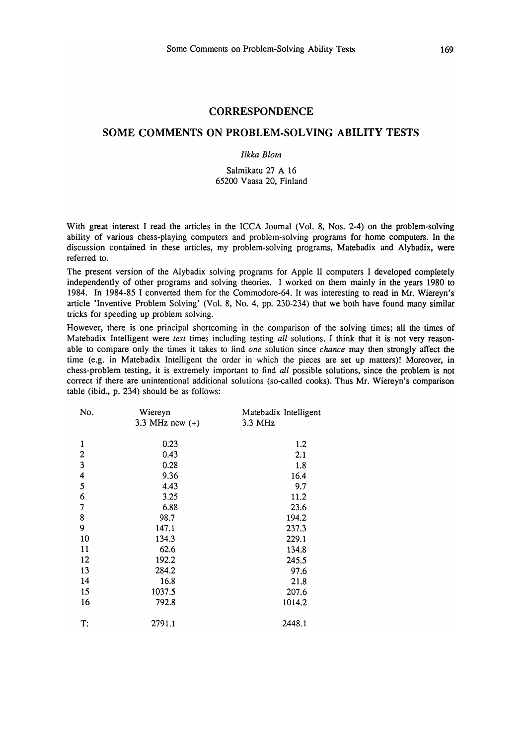#### **CORRESPONDENCE**

## SOME COMMENTS ON PROBLEM·SOL VING ABILITY TESTS

#### *Ilkka Blom*

### Salmikatu 27 A 16 65200 Vaasa 20, Finland

With great interest I read the articles in the ICCA Journal (Vol. 8, Nos. 2-4) on the problem-solving ability of various chess-playing computers and problem-solving programs for home computers. In the discussion contained in these articles, my problem-solving programs, Matebadix and Alybadix, were referred to.

The present version of the Alybadix solving programs for Apple II computers I developed completely independently of other programs and solving theories. I worked on them mainly in the years 1980 to 1984. In 1984-85 I converted them for the Commodore-64. It was interesting to read in Mr. Wiereyn's article 'Inventive Problem Solving' (Vol. 8, No.4, pp. 230-234) that we both have found many similar tricks for speeding up problem solving.

However, there is one principal shortcoming in the comparison of the solving times; all the times of Matebadix Intelligent were *test* times including testing *all* solutions. I think that it is not very reasonable to compare only the times it takes to find *one* solution since *chance* may then strongly affect the time (e.g. in Matebadix Intelligent the order in which the pieces are set up matters)! Moreover, in chess-problem testing, it is extremely important to find *all* possible solutions, since the problem is not correct if there are unintentional additional solutions (so-called cooks). Thus Mr. Wiereyn's comparison table (ibid., p. 234) should be as follows:

| No.            | Wiereyn           | Matebadix Intelligent |  |
|----------------|-------------------|-----------------------|--|
|                | 3.3 MHz new $(+)$ | 3.3 MHz               |  |
| 1              | 0.23              | 1.2                   |  |
| $\overline{c}$ | 0.43              | 2.1                   |  |
| 3              | 0.28              | 1.8                   |  |
| 4              | 9.36              | 16.4                  |  |
| 5              | 4.43              | 9.7                   |  |
| 6              | 3.25              | 11.2                  |  |
| 7              | 6.88              | 23.6                  |  |
| 8              | 98.7              | 194.2                 |  |
| 9              | 147.1             | 237.3                 |  |
| 10             | 134.3             | 229.1                 |  |
| 11             | 62.6              | 134.8                 |  |
| 12             | 192.2             | 245.5                 |  |
| 13             | 284.2             | 97.6                  |  |
| 14             | 16.8              | 21.8                  |  |
| 15             | 1037.5            | 207.6                 |  |
| 16             | 792.8             | 1014.2                |  |
| T:             | 2791.1            | 2448.1                |  |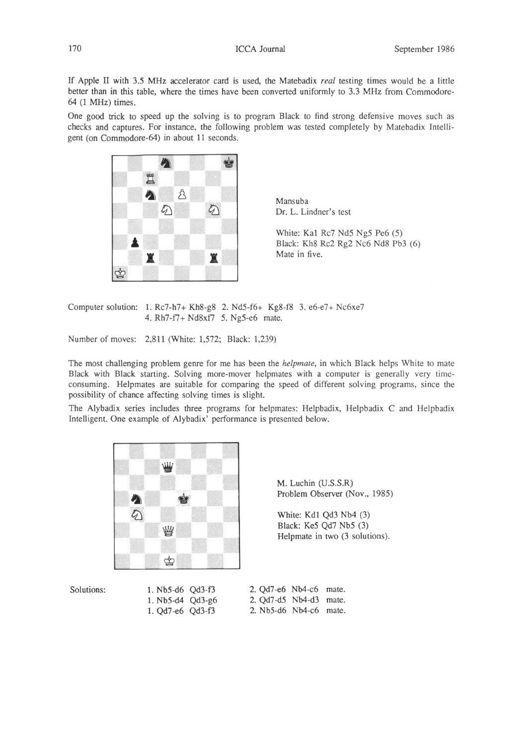If Apple II with 3.S MHz accelerator card is used, the Matebadix *real* testing times would be a little better than in this table, where the times have been converted uniformly to 3.3 MHz from Commodore-64 (1 MHz) times.

One good trick to speed up the solving is to program Black to find strong defensive moves such as checks and captures. For instance, the following problem was tested completely by Matebadix Intelligent (on Commodore-64) in about 11 seconds.



Mansuba Dr. L. Lindner's test

White: Kal Rc7 NdS NgS Pe6 (S) Black: Kh8 Rc2 Rg2 Nc6 Nd8 Pb3 (6) Mate in five.

Computer solution: 1. Rc7-h7+ Kh8-g8 2. NdS-f6+ Kg8-fS 3. e6-e7+ Nc6xe7 4. Rh7-f7+ Nd8xf7 S. NgS-e6 mate.

Number of moves: 2,811 (White: I,S72; Black: 1,239)

The most challenging problem genre for me has been the *helpmate,* in which Black helps White to mate Black with Black starting. Solving more-mover helpmates with a computer is generally very timeconsuming. Helpmates are suitable for comparing the speed of different solving programs, since the possibility of chance affecting solving times is slight.

The Alybadix series includes three programs for helpmates: HeJpbadix, Helpbadix C and HeJpbadix Intelligent. One example of Alybadix' performance is presented below.



M. Luchin (U.S.S.R) Problem Observer (Nov., 1985)

White: Kdl Qd3 Nb4 (3) Black: KeS Qd7 NbS (3) Helpmate in two (3 solutions).

Solutions: 1. Nb5-d6 Qd3-f3 1. NbS-d4 Qd3-g6 1. Qd7-e6 Qd3-f3 2. Qd7-e6 Nb4-c6 mate. 2. Qd7-dS Nb4-d3 mate. 2. NbS-d6 Nb4-c6 mate.